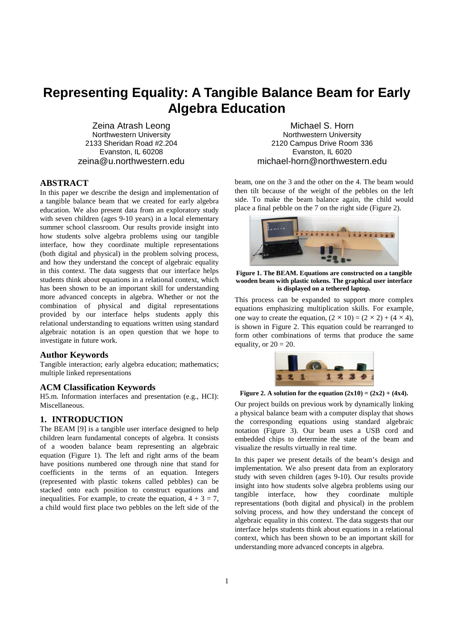# **Representing Equality: A Tangible Balance Beam for Early Algebra Education**

Zeina Atrash Leong Northwestern University 2133 Sheridan Road #2.204 Evanston, IL 60208 zeina@u.northwestern.edu

#### **ABSTRACT**

In this paper we describe the design and implementation of a tangible balance beam that we created for early algebra education. We also present data from an exploratory study with seven children (ages 9-10 years) in a local elementary summer school classroom. Our results provide insight into how students solve algebra problems using our tangible interface, how they coordinate multiple representations (both digital and physical) in the problem solving process, and how they understand the concept of algebraic equality in this context. The data suggests that our interface helps students think about equations in a relational context, which has been shown to be an important skill for understanding more advanced concepts in algebra. Whether or not the combination of physical and digital representations provided by our interface helps students apply this relational understanding to equations written using standard algebraic notation is an open question that we hope to investigate in future work.

# **Author Keywords**

Tangible interaction; early algebra education; mathematics; multiple linked representations

## **ACM Classification Keywords**

H5.m. Information interfaces and presentation (e.g., HCI): Miscellaneous.

# **1. INTRODUCTION**

The BEAM [9] is a tangible user interface designed to help children learn fundamental concepts of algebra. It consists of a wooden balance beam representing an algebraic equation (Figure 1). The left and right arms of the beam have positions numbered one through nine that stand for coefficients in the terms of an equation. Integers (represented with plastic tokens called pebbles) can be stacked onto each position to construct equations and inequalities. For example, to create the equation,  $4 + 3 = 7$ , a child would first place two pebbles on the left side of the

Michael S. Horn Northwestern University 2120 Campus Drive Room 336 Evanston, IL 6020 michael-horn@northwestern.edu

beam, one on the 3 and the other on the 4. The beam would then tilt because of the weight of the pebbles on the left side. To make the beam balance again, the child would place a final pebble on the 7 on the right side (Figure 2).



**Figure 1. The BEAM. Equations are constructed on a tangible wooden beam with plastic tokens. The graphical user interface is displayed on a tethered laptop.** 

This process can be expanded to support more complex equations emphasizing multiplication skills. For example, one way to create the equation,  $(2 \times 10) = (2 \times 2) + (4 \times 4)$ , is shown in Figure 2. This equation could be rearranged to form other combinations of terms that produce the same equality, or  $20 = 20$ .



Figure 2. A solution for the equation  $(2x10) = (2x2) + (4x4)$ .

Our project builds on previous work by dynamically linking a physical balance beam with a computer display that shows the corresponding equations using standard algebraic notation (Figure 3). Our beam uses a USB cord and embedded chips to determine the state of the beam and visualize the results virtually in real time.

In this paper we present details of the beam's design and implementation. We also present data from an exploratory study with seven children (ages 9-10). Our results provide insight into how students solve algebra problems using our tangible interface, how they coordinate multiple representations (both digital and physical) in the problem solving process, and how they understand the concept of algebraic equality in this context. The data suggests that our interface helps students think about equations in a relational context, which has been shown to be an important skill for understanding more advanced concepts in algebra.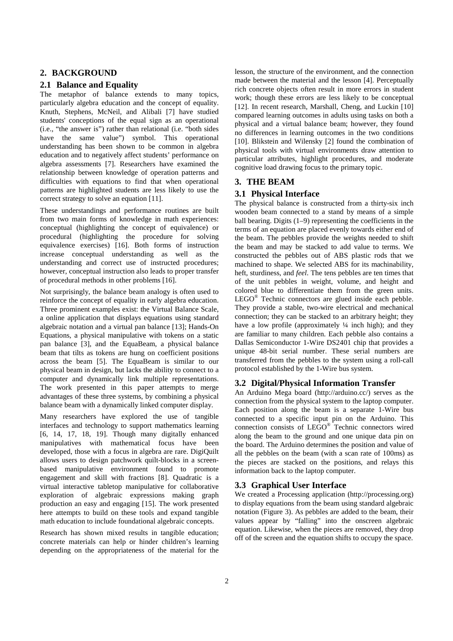# **2. BACKGROUND**

#### **2.1 Balance and Equality**

The metaphor of balance extends to many topics, particularly algebra education and the concept of equality. Knuth, Stephens, McNeil, and Alibali [7] have studied students' conceptions of the equal sign as an operational (i.e., "the answer is") rather than relational (i.e. "both sides have the same value") symbol. This operational understanding has been shown to be common in algebra education and to negatively affect students' performance on algebra assessments [7]. Researchers have examined the relationship between knowledge of operation patterns and difficulties with equations to find that when operational patterns are highlighted students are less likely to use the correct strategy to solve an equation [11].

These understandings and performance routines are built from two main forms of knowledge in math experiences: conceptual (highlighting the concept of equivalence) or procedural (highlighting the procedure for solving equivalence exercises) [16]. Both forms of instruction increase conceptual understanding as well as the understanding and correct use of instructed procedures; however, conceptual instruction also leads to proper transfer of procedural methods in other problems [16].

Not surprisingly, the balance beam analogy is often used to reinforce the concept of equality in early algebra education. Three prominent examples exist: the Virtual Balance Scale, a online application that displays equations using standard algebraic notation and a virtual pan balance [13]; Hands-On Equations, a physical manipulative with tokens on a static pan balance [3], and the EquaBeam, a physical balance beam that tilts as tokens are hung on coefficient positions across the beam [5]. The EquaBeam is similar to our physical beam in design, but lacks the ability to connect to a computer and dynamically link multiple representations. The work presented in this paper attempts to merge advantages of these three systems, by combining a physical balance beam with a dynamically linked computer display.

Many researchers have explored the use of tangible interfaces and technology to support mathematics learning [6, 14, 17, 18, 19]. Though many digitally enhanced manipulatives with mathematical focus have been developed, those with a focus in algebra are rare. DigiQuilt allows users to design patchwork quilt-blocks in a screenbased manipulative environment found to promote engagement and skill with fractions [8]. Quadratic is a virtual interactive tabletop manipulative for collaborative exploration of algebraic expressions making graph production an easy and engaging [15]. The work presented here attempts to build on these tools and expand tangible math education to include foundational algebraic concepts.

Research has shown mixed results in tangible education; concrete materials can help or hinder children's learning depending on the appropriateness of the material for the lesson, the structure of the environment, and the connection made between the material and the lesson [4]. Perceptually rich concrete objects often result in more errors in student work; though these errors are less likely to be conceptual [12]. In recent research, Marshall, Cheng, and Luckin [10] compared learning outcomes in adults using tasks on both a physical and a virtual balance beam; however, they found no differences in learning outcomes in the two conditions [10]. Blikstein and Wilensky [2] found the combination of physical tools with virtual environments draw attention to particular attributes, highlight procedures, and moderate cognitive load drawing focus to the primary topic.

# **3. THE BEAM**

#### **3.1 Physical Interface**

The physical balance is constructed from a thirty-six inch wooden beam connected to a stand by means of a simple ball bearing. Digits (1–9) representing the coefficients in the terms of an equation are placed evenly towards either end of the beam. The pebbles provide the weights needed to shift the beam and may be stacked to add value to terms. We constructed the pebbles out of ABS plastic rods that we machined to shape. We selected ABS for its machinability, heft, sturdiness, and *feel*. The tens pebbles are ten times that of the unit pebbles in weight, volume, and height and colored blue to differentiate them from the green units. LEGO<sup>®</sup> Technic connectors are glued inside each pebble. They provide a stable, two-wire electrical and mechanical connection; they can be stacked to an arbitrary height; they have a low profile (approximately  $\frac{1}{4}$  inch high); and they are familiar to many children. Each pebble also contains a Dallas Semiconductor 1-Wire DS2401 chip that provides a unique 48-bit serial number. These serial numbers are transferred from the pebbles to the system using a roll-call protocol established by the 1-Wire bus system.

## **3.2 Digital/Physical Information Transfer**

An Arduino Mega board (http://arduino.cc/) serves as the connection from the physical system to the laptop computer. Each position along the beam is a separate 1-Wire bus connected to a specific input pin on the Arduino. This connection consists of LEGO® Technic connectors wired along the beam to the ground and one unique data pin on the board. The Arduino determines the position and value of all the pebbles on the beam (with a scan rate of 100ms) as the pieces are stacked on the positions, and relays this information back to the laptop computer.

### **3.3 Graphical User Interface**

We created a Processing application (http://processing.org) to display equations from the beam using standard algebraic notation (Figure 3). As pebbles are added to the beam, their values appear by "falling" into the onscreen algebraic equation. Likewise, when the pieces are removed, they drop off of the screen and the equation shifts to occupy the space.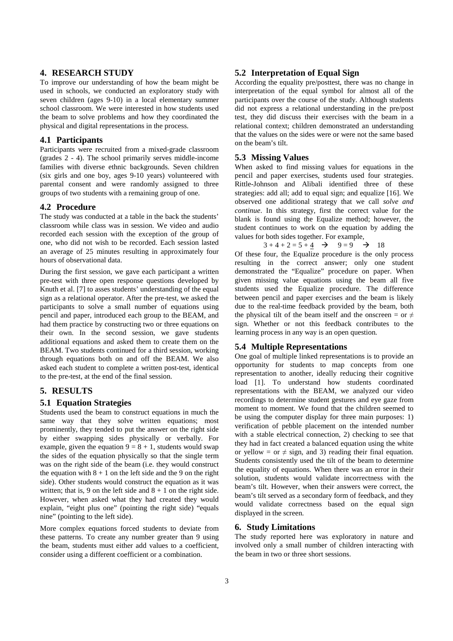# **4. RESEARCH STUDY**

To improve our understanding of how the beam might be used in schools, we conducted an exploratory study with seven children (ages 9-10) in a local elementary summer school classroom. We were interested in how students used the beam to solve problems and how they coordinated the physical and digital representations in the process.

# **4.1 Participants**

Participants were recruited from a mixed-grade classroom (grades 2 - 4). The school primarily serves middle-income families with diverse ethnic backgrounds. Seven children (six girls and one boy, ages 9-10 years) volunteered with parental consent and were randomly assigned to three groups of two students with a remaining group of one.

#### **4.2 Procedure**

The study was conducted at a table in the back the students' classroom while class was in session. We video and audio recorded each session with the exception of the group of one, who did not wish to be recorded. Each session lasted an average of 25 minutes resulting in approximately four hours of observational data.

During the first session, we gave each participant a written pre-test with three open response questions developed by Knuth et al. [7] to asses students' understanding of the equal sign as a relational operator. After the pre-test, we asked the participants to solve a small number of equations using pencil and paper, introduced each group to the BEAM, and had them practice by constructing two or three equations on their own. In the second session, we gave students additional equations and asked them to create them on the BEAM. Two students continued for a third session, working through equations both on and off the BEAM. We also asked each student to complete a written post-test, identical to the pre-test, at the end of the final session.

# **5. RESULTS**

#### **5.1 Equation Strategies**

Students used the beam to construct equations in much the same way that they solve written equations; most prominently, they tended to put the answer on the right side by either swapping sides physically or verbally. For example, given the equation  $9 = 8 + 1$ , students would swap the sides of the equation physically so that the single term was on the right side of the beam (i.e. they would construct the equation with  $8 + 1$  on the left side and the 9 on the right side). Other students would construct the equation as it was written; that is, 9 on the left side and  $8 + 1$  on the right side. However, when asked what they had created they would explain, "eight plus one" (pointing the right side) "equals nine" (pointing to the left side).

More complex equations forced students to deviate from these patterns. To create any number greater than 9 using the beam, students must either add values to a coefficient, consider using a different coefficient or a combination.

# **5.2 Interpretation of Equal Sign**

According the equality pre/posttest, there was no change in interpretation of the equal symbol for almost all of the participants over the course of the study. Although students did not express a relational understanding in the pre/post test, they did discuss their exercises with the beam in a relational context; children demonstrated an understanding that the values on the sides were or were not the same based on the beam's tilt.

## **5.3 Missing Values**

When asked to find missing values for equations in the pencil and paper exercises, students used four strategies. Rittle-Johnson and Alibali identified three of these strategies: add all; add to equal sign; and equalize [16]. We observed one additional strategy that we call *solve and continue*. In this strategy, first the correct value for the blank is found using the Equalize method; however, the student continues to work on the equation by adding the values for both sides together. For example,

 $3 + 4 + 2 = 5 + 4 \rightarrow 9 = 9 \rightarrow 18$ 

Of these four, the Equalize procedure is the only process resulting in the correct answer; only one student demonstrated the "Equalize" procedure on paper. When given missing value equations using the beam all five students used the Equalize procedure. The difference between pencil and paper exercises and the beam is likely due to the real-time feedback provided by the beam, both the physical tilt of the beam itself and the onscreen = or  $\neq$ sign. Whether or not this feedback contributes to the learning process in any way is an open question.

# **5.4 Multiple Representations**

One goal of multiple linked representations is to provide an opportunity for students to map concepts from one representation to another, ideally reducing their cognitive load [1]. To understand how students coordinated representations with the BEAM, we analyzed our video recordings to determine student gestures and eye gaze from moment to moment. We found that the children seemed to be using the computer display for three main purposes: 1) verification of pebble placement on the intended number with a stable electrical connection, 2) checking to see that they had in fact created a balanced equation using the white or yellow = or  $\neq$  sign, and 3) reading their final equation. Students consistently used the tilt of the beam to determine the equality of equations. When there was an error in their solution, students would validate incorrectness with the beam's tilt. However, when their answers were correct, the beam's tilt served as a secondary form of feedback, and they would validate correctness based on the equal sign displayed in the screen.

## **6. Study Limitations**

The study reported here was exploratory in nature and involved only a small number of children interacting with the beam in two or three short sessions.